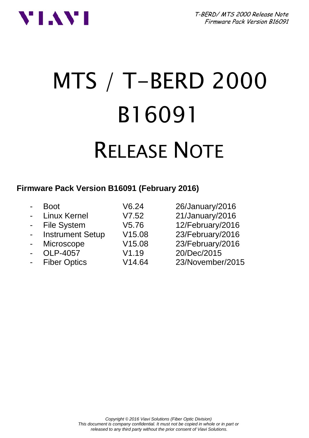T-BERD/ MTS 2000 Release Note Firmware Pack Version B16091



# MTS / T-BERD 2000 B16091 RELEASE NOTE

## **Firmware Pack Version B16091 (February 2016)**

|                          | Boot                    | V6.24  | 26/January/2016  |
|--------------------------|-------------------------|--------|------------------|
| $\blacksquare$           | <b>Linux Kernel</b>     | V7.52  | 21/January/2016  |
| $\sim$                   | <b>File System</b>      | V5.76  | 12/February/2016 |
| $\blacksquare$           | <b>Instrument Setup</b> | V15.08 | 23/February/2016 |
| $\overline{\phantom{a}}$ | Microscope              | V15.08 | 23/February/2016 |
|                          | OLP-4057                | V1.19  | 20/Dec/2015      |
| $\overline{a}$           | <b>Fiber Optics</b>     | V14.64 | 23/November/2015 |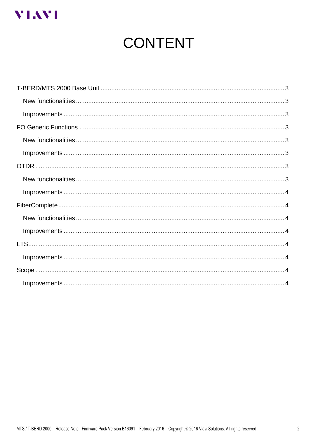

# **CONTENT**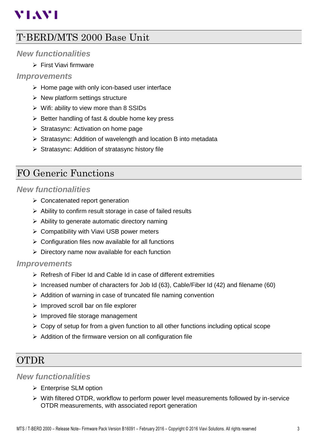## **YLAYI**

## <span id="page-2-0"></span>T-BERD/MTS 2000 Base Unit

## <span id="page-2-1"></span>*New functionalities*

 $\triangleright$  First Viavi firmware

## <span id="page-2-2"></span>*Improvements*

- $\triangleright$  Home page with only icon-based user interface
- $\triangleright$  New platform settings structure
- $\triangleright$  Wifi: ability to view more than 8 SSIDs
- $\triangleright$  Better handling of fast & double home key press
- $\triangleright$  Stratasync: Activation on home page
- $\triangleright$  Stratasync: Addition of wavelength and location B into metadata
- $\triangleright$  Stratasync: Addition of stratasync history file

## <span id="page-2-3"></span>FO Generic Functions

## <span id="page-2-4"></span>*New functionalities*

- ▶ Concatenated report generation
- $\triangleright$  Ability to confirm result storage in case of failed results
- $\triangleright$  Ability to generate automatic directory naming
- $\triangleright$  Compatibility with Viavi USB power meters
- $\triangleright$  Configuration files now available for all functions
- $\triangleright$  Directory name now available for each function

## <span id="page-2-5"></span>*Improvements*

- Refresh of Fiber Id and Cable Id in case of different extremities
- $\triangleright$  Increased number of characters for Job Id (63), Cable/Fiber Id (42) and filename (60)
- $\triangleright$  Addition of warning in case of truncated file naming convention
- $\triangleright$  Improved scroll bar on file explorer
- $\triangleright$  Improved file storage management
- $\triangleright$  Copy of setup for from a given function to all other functions including optical scope
- $\triangleright$  Addition of the firmware version on all configuration file

## <span id="page-2-6"></span>OTDR

## <span id="page-2-7"></span>*New functionalities*

- Enterprise SLM option
- $\triangleright$  With filtered OTDR, workflow to perform power level measurements followed by in-service OTDR measurements, with associated report generation